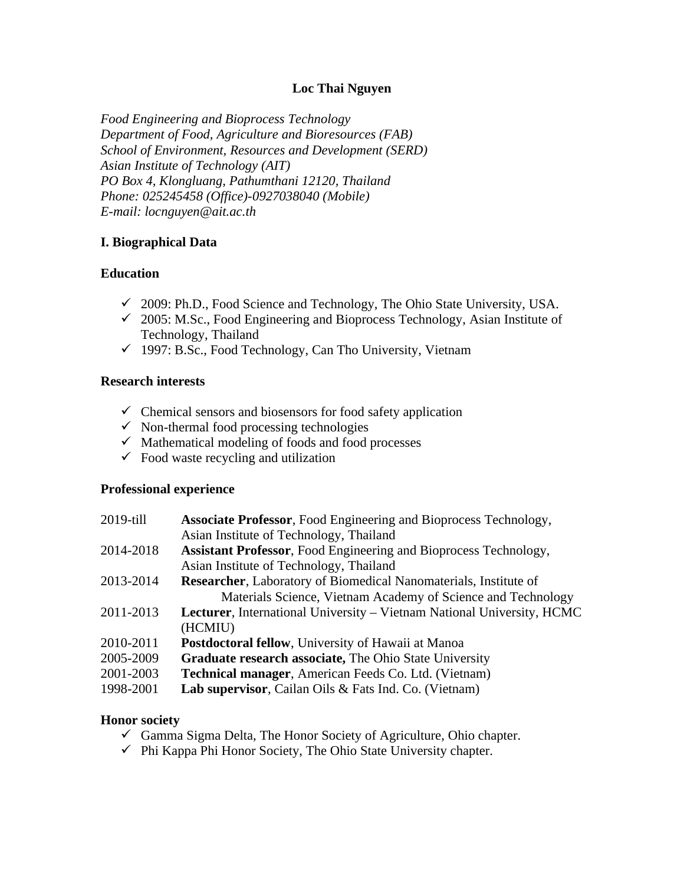## **Loc Thai Nguyen**

*Food Engineering and Bioprocess Technology Department of Food, Agriculture and Bioresources (FAB) School of Environment, Resources and Development (SERD) Asian Institute of Technology (AIT) PO Box 4, Klongluang, Pathumthani 12120, Thailand Phone: 025245458 (Office)-0927038040 (Mobile) E-mail: locnguyen@ait.ac.th*

## **I. Biographical Data**

## **Education**

- 2009: Ph.D., Food Science and Technology, The Ohio State University, USA.
- 2005: M.Sc., Food Engineering and Bioprocess Technology, Asian Institute of Technology, Thailand
- $\checkmark$  1997: B.Sc., Food Technology, Can Tho University, Vietnam

### **Research interests**

- $\checkmark$  Chemical sensors and biosensors for food safety application
- $\checkmark$  Non-thermal food processing technologies
- $\checkmark$  Mathematical modeling of foods and food processes
- $\checkmark$  Food waste recycling and utilization

### **Professional experience**

| 2019-till | <b>Associate Professor, Food Engineering and Bioprocess Technology,</b>        |
|-----------|--------------------------------------------------------------------------------|
|           | Asian Institute of Technology, Thailand                                        |
| 2014-2018 | <b>Assistant Professor, Food Engineering and Bioprocess Technology,</b>        |
|           | Asian Institute of Technology, Thailand                                        |
| 2013-2014 | <b>Researcher, Laboratory of Biomedical Nanomaterials, Institute of</b>        |
|           | Materials Science, Vietnam Academy of Science and Technology                   |
| 2011-2013 | <b>Lecturer</b> , International University – Vietnam National University, HCMC |
|           | (HCMIU)                                                                        |
| 2010-2011 | <b>Postdoctoral fellow, University of Hawaii at Manoa</b>                      |
| 2005-2009 | Graduate research associate, The Ohio State University                         |
| 2001-2003 | <b>Technical manager, American Feeds Co. Ltd. (Vietnam)</b>                    |
| 1998-2001 | Lab supervisor, Cailan Oils & Fats Ind. Co. (Vietnam)                          |
|           |                                                                                |

### **Honor society**

- $\checkmark$  Gamma Sigma Delta, The Honor Society of Agriculture, Ohio chapter.
- $\checkmark$  Phi Kappa Phi Honor Society, The Ohio State University chapter.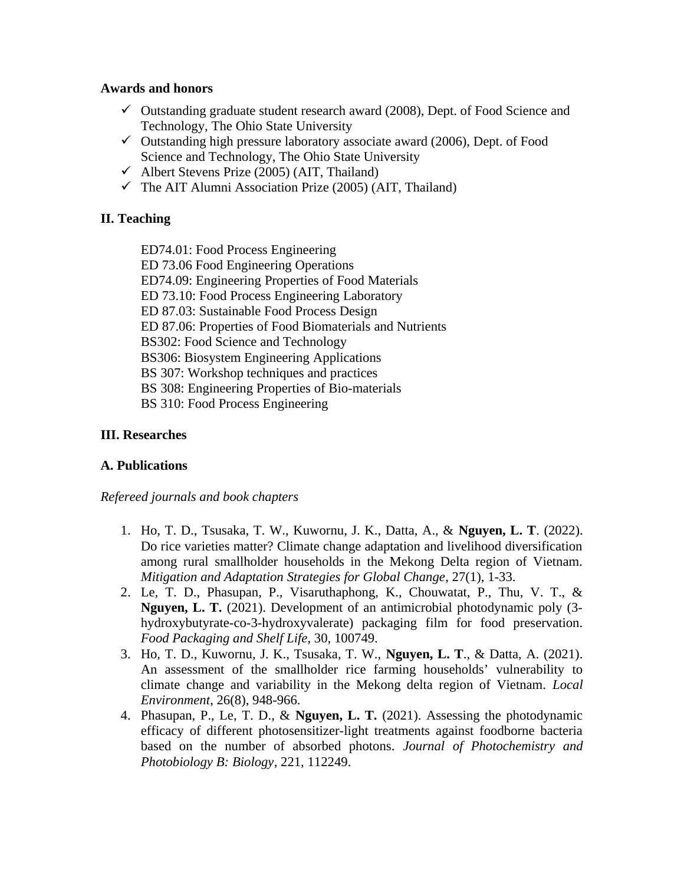## **Awards and honors**

- $\checkmark$  Outstanding graduate student research award (2008), Dept. of Food Science and Technology, The Ohio State University
- $\checkmark$  Outstanding high pressure laboratory associate award (2006), Dept. of Food Science and Technology, The Ohio State University
- $\checkmark$  Albert Stevens Prize (2005) (AIT, Thailand)
- $\checkmark$  The AIT Alumni Association Prize (2005) (AIT, Thailand)

# **II. Teaching**

ED74.01: Food Process Engineering

ED 73.06 Food Engineering Operations

ED74.09: Engineering Properties of Food Materials

ED 73.10: Food Process Engineering Laboratory

ED 87.03: Sustainable Food Process Design

ED 87.06: Properties of Food Biomaterials and Nutrients

BS302: Food Science and Technology

BS306: Biosystem Engineering Applications

- BS 307: Workshop techniques and practices
- BS 308: Engineering Properties of Bio-materials

BS 310: Food Process Engineering

# **III. Researches**

# **A. Publications**

*Refereed journals and book chapters*

- 1. Ho, T. D., Tsusaka, T. W., Kuwornu, J. K., Datta, A., & **Nguyen, L. T**. (2022). Do rice varieties matter? Climate change adaptation and livelihood diversification among rural smallholder households in the Mekong Delta region of Vietnam. *Mitigation and Adaptation Strategies for Global Change*, 27(1), 1-33.
- 2. Le, T. D., Phasupan, P., Visaruthaphong, K., Chouwatat, P., Thu, V. T., & **Nguyen, L. T.** (2021). Development of an antimicrobial photodynamic poly (3 hydroxybutyrate-co-3-hydroxyvalerate) packaging film for food preservation. *Food Packaging and Shelf Life*, 30, 100749.
- 3. Ho, T. D., Kuwornu, J. K., Tsusaka, T. W., **Nguyen, L. T**., & Datta, A. (2021). An assessment of the smallholder rice farming households' vulnerability to climate change and variability in the Mekong delta region of Vietnam. *Local Environment*, 26(8), 948-966.
- 4. Phasupan, P., Le, T. D., & **Nguyen, L. T.** (2021). Assessing the photodynamic efficacy of different photosensitizer-light treatments against foodborne bacteria based on the number of absorbed photons. *Journal of Photochemistry and Photobiology B: Biology*, 221, 112249.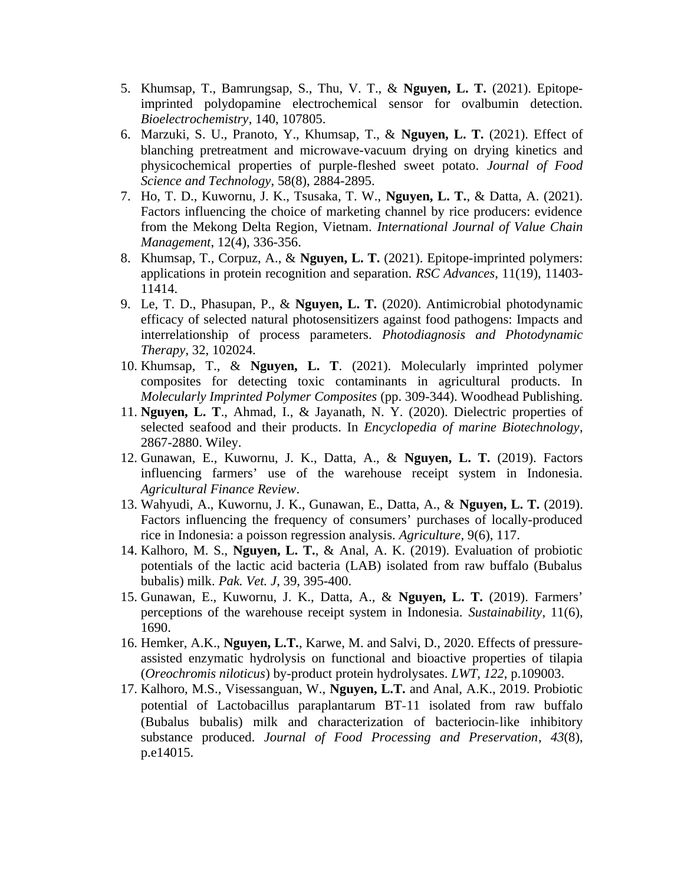- 5. Khumsap, T., Bamrungsap, S., Thu, V. T., & **Nguyen, L. T.** (2021). Epitopeimprinted polydopamine electrochemical sensor for ovalbumin detection. *Bioelectrochemistry*, 140, 107805.
- 6. Marzuki, S. U., Pranoto, Y., Khumsap, T., & **Nguyen, L. T.** (2021). Effect of blanching pretreatment and microwave-vacuum drying on drying kinetics and physicochemical properties of purple-fleshed sweet potato. *Journal of Food Science and Technology*, 58(8), 2884-2895.
- 7. Ho, T. D., Kuwornu, J. K., Tsusaka, T. W., **Nguyen, L. T.**, & Datta, A. (2021). Factors influencing the choice of marketing channel by rice producers: evidence from the Mekong Delta Region, Vietnam. *International Journal of Value Chain Management*, 12(4), 336-356.
- 8. Khumsap, T., Corpuz, A., & **Nguyen, L. T.** (2021). Epitope-imprinted polymers: applications in protein recognition and separation. *RSC Advances*, 11(19), 11403- 11414.
- 9. Le, T. D., Phasupan, P., & **Nguyen, L. T.** (2020). Antimicrobial photodynamic efficacy of selected natural photosensitizers against food pathogens: Impacts and interrelationship of process parameters. *Photodiagnosis and Photodynamic Therapy*, 32, 102024.
- 10. Khumsap, T., & **Nguyen, L. T**. (2021). Molecularly imprinted polymer composites for detecting toxic contaminants in agricultural products. In *Molecularly Imprinted Polymer Composites* (pp. 309-344). Woodhead Publishing.
- 11. **Nguyen, L. T**., Ahmad, I., & Jayanath, N. Y. (2020). Dielectric properties of selected seafood and their products. In *Encyclopedia of marine Biotechnology*, 2867-2880. Wiley.
- 12. Gunawan, E., Kuwornu, J. K., Datta, A., & **Nguyen, L. T.** (2019). Factors influencing farmers' use of the warehouse receipt system in Indonesia. *Agricultural Finance Review*.
- 13. Wahyudi, A., Kuwornu, J. K., Gunawan, E., Datta, A., & **Nguyen, L. T.** (2019). Factors influencing the frequency of consumers' purchases of locally-produced rice in Indonesia: a poisson regression analysis. *Agriculture*, 9(6), 117.
- 14. Kalhoro, M. S., **Nguyen, L. T.**, & Anal, A. K. (2019). Evaluation of probiotic potentials of the lactic acid bacteria (LAB) isolated from raw buffalo (Bubalus bubalis) milk. *Pak. Vet. J*, 39, 395-400.
- 15. Gunawan, E., Kuwornu, J. K., Datta, A., & **Nguyen, L. T.** (2019). Farmers' perceptions of the warehouse receipt system in Indonesia. *Sustainability*, 11(6), 1690.
- 16. Hemker, A.K., **Nguyen, L.T.**, Karwe, M. and Salvi, D., 2020. Effects of pressureassisted enzymatic hydrolysis on functional and bioactive properties of tilapia (*Oreochromis niloticus*) by-product protein hydrolysates. *LWT*, *122*, p.109003.
- 17. Kalhoro, M.S., Visessanguan, W., **Nguyen, L.T.** and Anal, A.K., 2019. Probiotic potential of Lactobacillus paraplantarum BT‐11 isolated from raw buffalo (Bubalus bubalis) milk and characterization of bacteriocin‐like inhibitory substance produced. *Journal of Food Processing and Preservation*, *43*(8), p.e14015.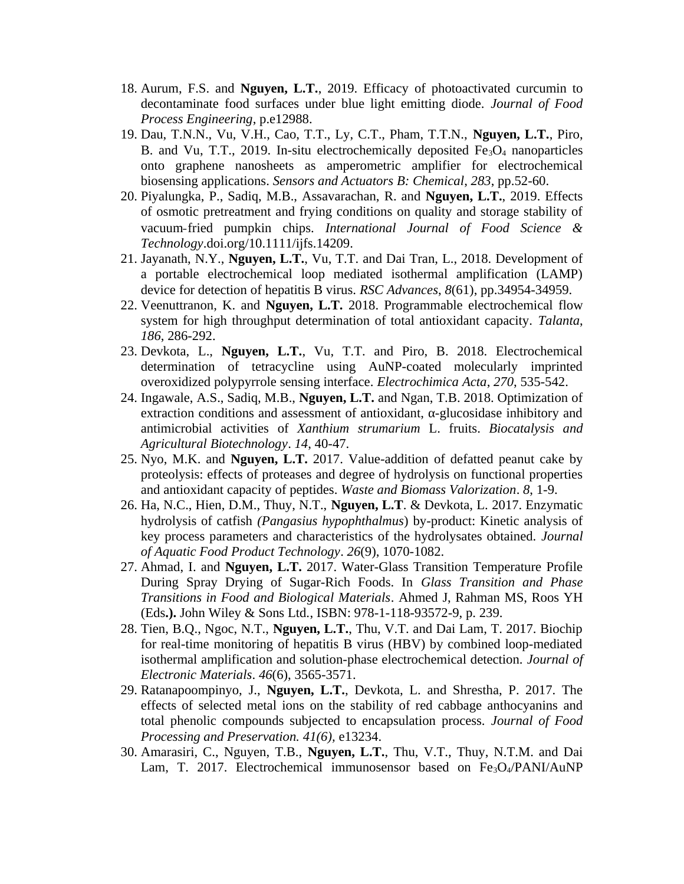- 18. Aurum, F.S. and **Nguyen, L.T.**, 2019. Efficacy of photoactivated curcumin to decontaminate food surfaces under blue light emitting diode. *Journal of Food Process Engineering*, p.e12988.
- 19. Dau, T.N.N., Vu, V.H., Cao, T.T., Ly, C.T., Pham, T.T.N., **Nguyen, L.T.**, Piro, B. and Vu, T.T., 2019. In-situ electrochemically deposited  $Fe<sub>3</sub>O<sub>4</sub>$  nanoparticles onto graphene nanosheets as amperometric amplifier for electrochemical biosensing applications. *Sensors and Actuators B: Chemical*, *283*, pp.52-60.
- 20. Piyalungka, P., Sadiq, M.B., Assavarachan, R. and **Nguyen, L.T.**, 2019. Effects of osmotic pretreatment and frying conditions on quality and storage stability of vacuum‐fried pumpkin chips. *International Journal of Food Science & Technology*.doi.org/10.1111/ijfs.14209.
- 21. Jayanath, N.Y., **Nguyen, L.T.**, Vu, T.T. and Dai Tran, L., 2018. Development of a portable electrochemical loop mediated isothermal amplification (LAMP) device for detection of hepatitis B virus. *RSC Advances*, *8*(61), pp.34954-34959.
- 22. Veenuttranon, K. and **Nguyen, L.T.** 2018. Programmable electrochemical flow system for high throughput determination of total antioxidant capacity. *Talanta*, *186*, 286-292.
- 23. Devkota, L., **Nguyen, L.T.**, Vu, T.T. and Piro, B. 2018. Electrochemical determination of tetracycline using AuNP-coated molecularly imprinted overoxidized polypyrrole sensing interface. *Electrochimica Acta*, *270*, 535-542.
- 24. Ingawale, A.S., Sadiq, M.B., **Nguyen, L.T.** and Ngan, T.B. 2018. Optimization of extraction conditions and assessment of antioxidant,  $\alpha$ -glucosidase inhibitory and antimicrobial activities of *Xanthium strumarium* L. fruits. *Biocatalysis and Agricultural Biotechnology*. *14*, 40-47.
- 25. Nyo, M.K. and **Nguyen, L.T.** 2017. Value-addition of defatted peanut cake by proteolysis: effects of proteases and degree of hydrolysis on functional properties and antioxidant capacity of peptides. *Waste and Biomass Valorization*. *8*, 1-9.
- 26. Ha, N.C., Hien, D.M., Thuy, N.T., **Nguyen, L.T**. & Devkota, L. 2017. Enzymatic hydrolysis of catfish *(Pangasius hypophthalmus*) by-product: Kinetic analysis of key process parameters and characteristics of the hydrolysates obtained. *Journal of Aquatic Food Product Technology*. *26*(9), 1070-1082.
- 27. Ahmad, I. and **Nguyen, L.T.** 2017. Water-Glass Transition Temperature Profile During Spray Drying of Sugar-Rich Foods. In *Glass Transition and Phase Transitions in Food and Biological Materials*. Ahmed J, Rahman MS, Roos YH (Eds**.).** John Wiley & Sons Ltd., ISBN: 978-1-118-93572-9, p. 239.
- 28. Tien, B.Q., Ngoc, N.T., **Nguyen, L.T.**, Thu, V.T. and Dai Lam, T. 2017. Biochip for real-time monitoring of hepatitis B virus (HBV) by combined loop-mediated isothermal amplification and solution-phase electrochemical detection. *Journal of Electronic Materials*. *46*(6), 3565-3571.
- 29. Ratanapoompinyo, J., **Nguyen, L.T.**, Devkota, L. and Shrestha, P. 2017. The effects of selected metal ions on the stability of red cabbage anthocyanins and total phenolic compounds subjected to encapsulation process. *Journal of Food Processing and Preservation. 41(6),* e13234.
- 30. Amarasiri, C., Nguyen, T.B., **Nguyen, L.T.**, Thu, V.T., Thuy, N.T.M. and Dai Lam, T. 2017. Electrochemical immunosensor based on Fe<sub>3</sub>O<sub>4</sub>/PANI/AuNP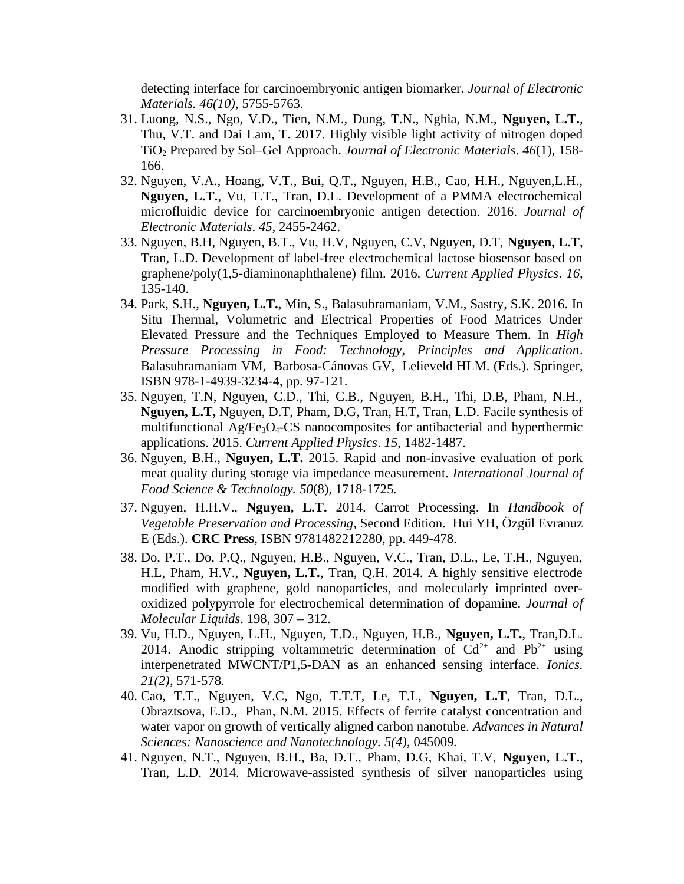detecting interface for carcinoembryonic antigen biomarker. *Journal of Electronic Materials. 46(10),* 5755-5763*.*

- 31. Luong, N.S., Ngo, V.D., Tien, N.M., Dung, T.N., Nghia, N.M., **Nguyen, L.T.**, Thu, V.T. and Dai Lam, T. 2017. Highly visible light activity of nitrogen doped TiO2 Prepared by Sol–Gel Approach. *Journal of Electronic Materials*. *46*(1), 158- 166.
- 32. Nguyen, V.A., Hoang, V.T., Bui, Q.T., Nguyen, H.B., Cao, H.H., Nguyen,L.H., **Nguyen, L.T.**, Vu, T.T., Tran, D.L. Development of a PMMA electrochemical microfluidic device for carcinoembryonic antigen detection. 2016. *Journal of Electronic Materials*. *45*, 2455-2462.
- 33. Nguyen, B.H, Nguyen, B.T., Vu, H.V, Nguyen, C.V, Nguyen, D.T, **Nguyen, L.T**, Tran, L.D. Development of label-free electrochemical lactose biosensor based on graphene/poly(1,5-diaminonaphthalene) film. 2016. *Current Applied Physics*. *16*, 135-140.
- 34. Park, S.H., **Nguyen, L.T.**, Min, S., Balasubramaniam, V.M., Sastry, S.K. 2016. In Situ Thermal, Volumetric and Electrical Properties of Food Matrices Under Elevated Pressure and the Techniques Employed to Measure Them. In *High Pressure Processing in Food: Technology, Principles and Application*. Balasubramaniam VM, Barbosa-Cánovas GV, Lelieveld HLM. (Eds.). Springer, ISBN 978-1-4939-3234-4, pp. 97-121.
- 35. Nguyen, T.N, Nguyen, C.D., Thi, C.B., Nguyen, B.H., Thi, D.B, Pham, N.H., **Nguyen, L.T,** Nguyen, D.T, Pham, D.G, Tran, H.T, Tran, L.D. Facile synthesis of multifunctional Ag/Fe<sub>3</sub>O<sub>4</sub>-CS nanocomposites for antibacterial and hyperthermic applications. 2015. *Current Applied Physics*. *15*, 1482-1487.
- 36. Nguyen, B.H., **Nguyen, L.T.** 2015. Rapid and non-invasive evaluation of pork meat quality during storage via impedance measurement. *International Journal of Food Science & Technology. 50*(8)*,* 1718-1725*.*
- 37. Nguyen, H.H.V., **Nguyen, L.T.** 2014. Carrot Processing. In *Handbook of Vegetable Preservation and Processing*, Second Edition. Hui YH, Özgül Evranuz E (Eds.). **CRC Press**, ISBN 9781482212280, pp. 449-478.
- 38. Do, P.T., Do, P.Q., Nguyen, H.B., Nguyen, V.C., Tran, D.L., Le, T.H., Nguyen, H.L, Pham, H.V., **Nguyen, L.T.**, Tran, Q.H. 2014. A highly sensitive electrode modified with graphene, gold nanoparticles, and molecularly imprinted overoxidized polypyrrole for electrochemical determination of dopamine. *Journal of Molecular Liquids*. 198, 307 – 312.
- 39. Vu, H.D., Nguyen, L.H., Nguyen, T.D., Nguyen, H.B., **Nguyen, L.T.**, Tran,D.L. 2014. Anodic stripping voltammetric determination of  $Cd^{2+}$  and  $Pb^{2+}$  using interpenetrated MWCNT/P1,5-DAN as an enhanced sensing interface. *Ionics. 21(2),* 571-578.
- 40. Cao, T.T., Nguyen, V.C, Ngo, T.T.T, Le, T.L, **Nguyen, L.T**, Tran, D.L., Obraztsova, E.D., Phan, N.M. 2015. Effects of ferrite catalyst concentration and water vapor on growth of vertically aligned carbon nanotube. *Advances in Natural Sciences: Nanoscience and Nanotechnology. 5(4),* 045009*.*
- 41. Nguyen, N.T., Nguyen, B.H., Ba, D.T., Pham, D.G, Khai, T.V, **Nguyen, L.T.**, Tran, L.D. 2014. Microwave-assisted synthesis of silver nanoparticles using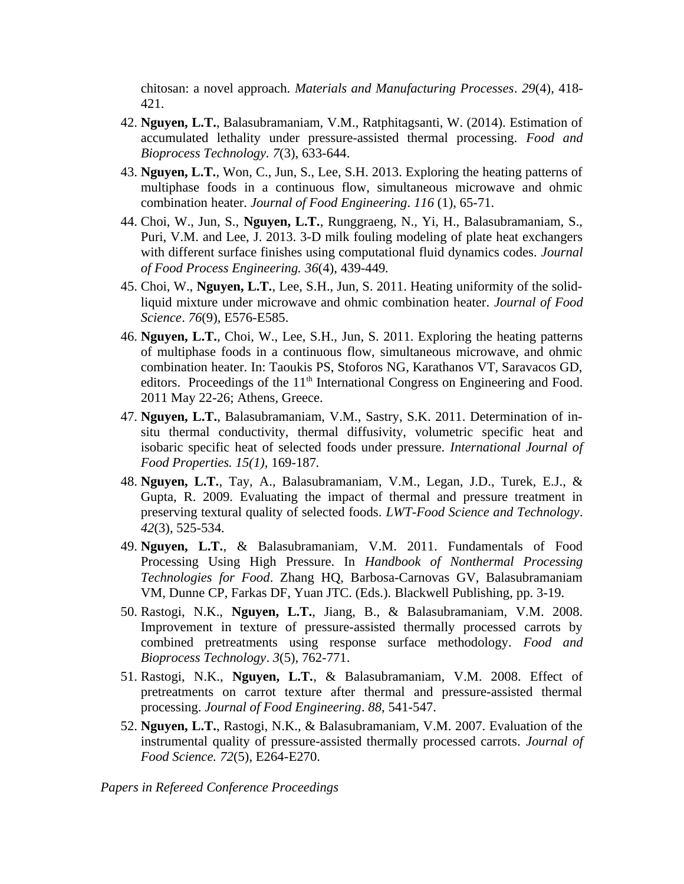chitosan: a novel approach. *Materials and Manufacturing Processes*. *29*(4), 418- 421.

- 42. **Nguyen, L.T.**, Balasubramaniam, V.M., Ratphitagsanti, W. (2014). Estimation of accumulated lethality under pressure-assisted thermal processing. *Food and Bioprocess Technology. 7*(3), 633-644.
- 43. **Nguyen, L.T.**, Won, C., Jun, S., Lee, S.H. 2013. Exploring the heating patterns of multiphase foods in a continuous flow, simultaneous microwave and ohmic combination heater. *Journal of Food Engineering*. *116* (1), 65-71.
- 44. Choi, W., Jun, S., **Nguyen, L.T.**, Runggraeng, N., Yi, H., Balasubramaniam, S., Puri, V.M. and Lee, J. 2013. 3-D milk fouling modeling of plate heat exchangers with different surface finishes using computational fluid dynamics codes. *Journal of Food Process Engineering. 36*(4), 439-449*.*
- 45. Choi, W., **Nguyen, L.T.**, Lee, S.H., Jun, S. 2011. Heating uniformity of the solidliquid mixture under microwave and ohmic combination heater. *Journal of Food Science*. *76*(9), E576-E585.
- 46. **Nguyen, L.T.**, Choi, W., Lee, S.H., Jun, S. 2011. Exploring the heating patterns of multiphase foods in a continuous flow, simultaneous microwave, and ohmic combination heater. In: Taoukis PS, Stoforos NG, Karathanos VT, Saravacos GD, editors. Proceedings of the  $11<sup>th</sup>$  International Congress on Engineering and Food. 2011 May 22-26; Athens, Greece.
- 47. **Nguyen, L.T.**, Balasubramaniam, V.M., Sastry, S.K. 2011. Determination of insitu thermal conductivity, thermal diffusivity, volumetric specific heat and isobaric specific heat of selected foods under pressure. *International Journal of Food Properties. 15(1),* 169-187*.*
- 48. **Nguyen, L.T.**, Tay, A., Balasubramaniam, V.M., Legan, J.D., Turek, E.J., & Gupta, R. 2009. Evaluating the impact of thermal and pressure treatment in preserving textural quality of selected foods. *LWT-Food Science and Technology*. *42*(3), 525-534.
- 49. **Nguyen, L.T.**, & Balasubramaniam, V.M. 2011. Fundamentals of Food Processing Using High Pressure. In *Handbook of Nonthermal Processing Technologies for Food*. Zhang HQ, Barbosa-Carnovas GV, Balasubramaniam VM, Dunne CP, Farkas DF, Yuan JTC. (Eds.). Blackwell Publishing, pp. 3-19.
- 50. Rastogi, N.K., **Nguyen, L.T.**, Jiang, B., & Balasubramaniam, V.M. 2008. Improvement in texture of pressure-assisted thermally processed carrots by combined pretreatments using response surface methodology. *Food and Bioprocess Technology*. *3*(5), 762-771.
- 51. Rastogi, N.K., **Nguyen, L.T.**, & Balasubramaniam, V.M. 2008. Effect of pretreatments on carrot texture after thermal and pressure-assisted thermal processing. *Journal of Food Engineering*. *88*, 541-547.
- 52. **Nguyen, L.T.**, Rastogi, N.K., & Balasubramaniam, V.M. 2007. Evaluation of the instrumental quality of pressure-assisted thermally processed carrots. *Journal of Food Science. 72*(5), E264-E270.

*Papers in Refereed Conference Proceedings*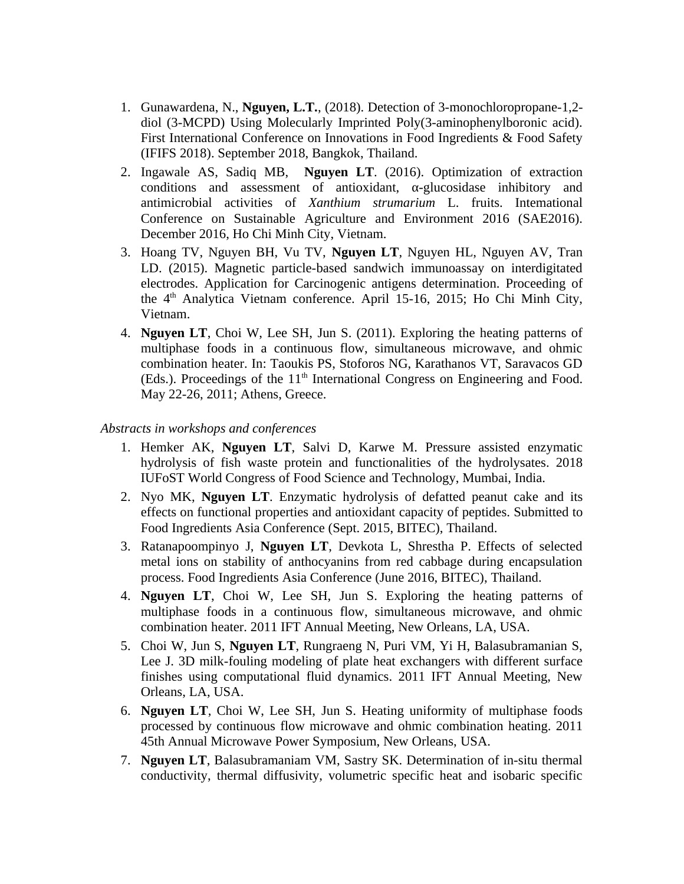- 1. Gunawardena, N., **Nguyen, L.T.**, (2018). Detection of 3-monochloropropane-1,2 diol (3-MCPD) Using Molecularly Imprinted Poly(3-aminophenylboronic acid). First International Conference on Innovations in Food Ingredients & Food Safety (IFIFS 2018). September 2018, Bangkok, Thailand.
- 2. Ingawale AS, Sadiq MB, **Nguyen LT**. (2016). Optimization of extraction conditions and assessment of antioxidant, α-glucosidase inhibitory and antimicrobial activities of *Xanthium strumarium* L. fruits. Intemational Conference on Sustainable Agriculture and Environment 2016 (SAE2016). December 2016, Ho Chi Minh City, Vietnam.
- 3. Hoang TV, Nguyen BH, Vu TV, **Nguyen LT**, Nguyen HL, Nguyen AV, Tran LD. (2015). Magnetic particle-based sandwich immunoassay on interdigitated electrodes. Application for Carcinogenic antigens determination. Proceeding of the  $4<sup>th</sup>$  Analytica Vietnam conference. April 15-16, 2015; Ho Chi Minh City, Vietnam.
- 4. **Nguyen LT**, Choi W, Lee SH, Jun S. (2011). Exploring the heating patterns of multiphase foods in a continuous flow, simultaneous microwave, and ohmic combination heater. In: Taoukis PS, Stoforos NG, Karathanos VT, Saravacos GD (Eds.). Proceedings of the  $11<sup>th</sup>$  International Congress on Engineering and Food. May 22-26, 2011; Athens, Greece.

### *Abstracts in workshops and conferences*

- 1. Hemker AK, **Nguyen LT**, Salvi D, Karwe M. Pressure assisted enzymatic hydrolysis of fish waste protein and functionalities of the hydrolysates. 2018 IUFoST World Congress of Food Science and Technology, Mumbai, India.
- 2. Nyo MK, **Nguyen LT**. Enzymatic hydrolysis of defatted peanut cake and its effects on functional properties and antioxidant capacity of peptides. Submitted to Food Ingredients Asia Conference (Sept. 2015, BITEC), Thailand.
- 3. Ratanapoompinyo J, **Nguyen LT**, Devkota L, Shrestha P. Effects of selected metal ions on stability of anthocyanins from red cabbage during encapsulation process. Food Ingredients Asia Conference (June 2016, BITEC), Thailand.
- 4. **Nguyen LT**, Choi W, Lee SH, Jun S. Exploring the heating patterns of multiphase foods in a continuous flow, simultaneous microwave, and ohmic combination heater. 2011 IFT Annual Meeting, New Orleans, LA, USA.
- 5. Choi W, Jun S, **Nguyen LT**, Rungraeng N, Puri VM, Yi H, Balasubramanian S, Lee J. 3D milk-fouling modeling of plate heat exchangers with different surface finishes using computational fluid dynamics. 2011 IFT Annual Meeting, New Orleans, LA, USA.
- 6. **Nguyen LT**, Choi W, Lee SH, Jun S. Heating uniformity of multiphase foods processed by continuous flow microwave and ohmic combination heating. 2011 45th Annual Microwave Power Symposium, New Orleans, USA.
- 7. **Nguyen LT**, Balasubramaniam VM, Sastry SK. Determination of in-situ thermal conductivity, thermal diffusivity, volumetric specific heat and isobaric specific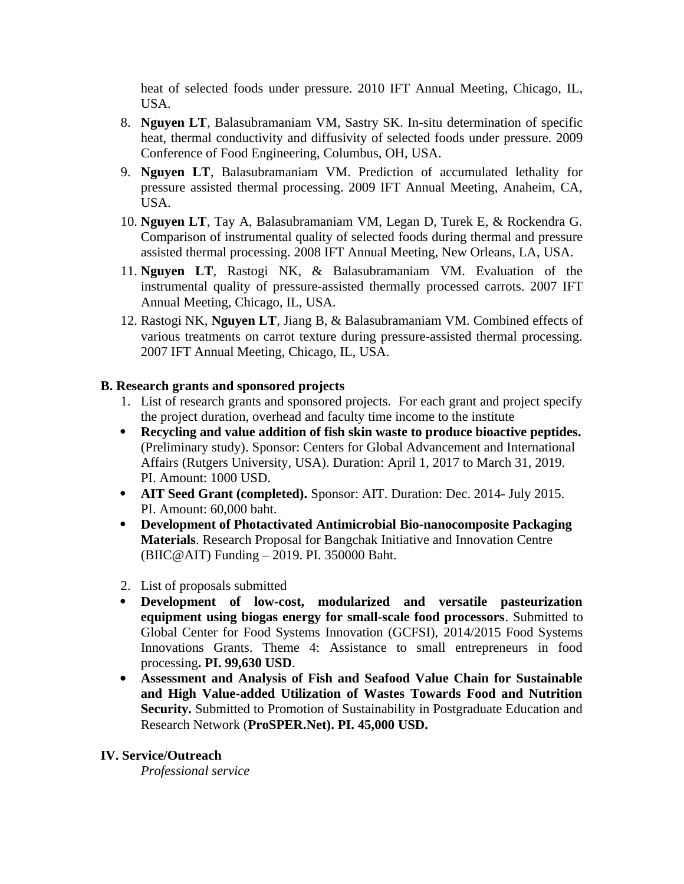heat of selected foods under pressure. 2010 IFT Annual Meeting, Chicago, IL, USA.

- 8. **Nguyen LT**, Balasubramaniam VM, Sastry SK. In-situ determination of specific heat, thermal conductivity and diffusivity of selected foods under pressure. 2009 Conference of Food Engineering, Columbus, OH, USA.
- 9. **Nguyen LT**, Balasubramaniam VM. Prediction of accumulated lethality for pressure assisted thermal processing. 2009 IFT Annual Meeting, Anaheim, CA, USA.
- 10. **Nguyen LT**, Tay A, Balasubramaniam VM, Legan D, Turek E, & Rockendra G. Comparison of instrumental quality of selected foods during thermal and pressure assisted thermal processing. 2008 IFT Annual Meeting, New Orleans, LA, USA.
- 11. **Nguyen LT**, Rastogi NK, & Balasubramaniam VM. Evaluation of the instrumental quality of pressure-assisted thermally processed carrots. 2007 IFT Annual Meeting, Chicago, IL, USA.
- 12. Rastogi NK, **Nguyen LT**, Jiang B, & Balasubramaniam VM. Combined effects of various treatments on carrot texture during pressure-assisted thermal processing. 2007 IFT Annual Meeting, Chicago, IL, USA.

## **B. Research grants and sponsored projects**

- 1. List of research grants and sponsored projects. For each grant and project specify the project duration, overhead and faculty time income to the institute
- **Recycling and value addition of fish skin waste to produce bioactive peptides.** (Preliminary study). Sponsor: Centers for Global Advancement and International Affairs (Rutgers University, USA). Duration: April 1, 2017 to March 31, 2019. PI. Amount: 1000 USD.
- **AIT Seed Grant (completed).** Sponsor: AIT. Duration: Dec. 2014- July 2015. PI. Amount: 60,000 baht.
- **Development of Photactivated Antimicrobial Bio-nanocomposite Packaging Materials**. Research Proposal for Bangchak Initiative and Innovation Centre (BIIC@AIT) Funding – 2019. PI. 350000 Baht.
- 2. List of proposals submitted
- **Development of low-cost, modularized and versatile pasteurization equipment using biogas energy for small-scale food processors**. Submitted to Global Center for Food Systems Innovation (GCFSI), 2014/2015 Food Systems Innovations Grants. Theme 4: Assistance to small entrepreneurs in food processing**. PI. 99,630 USD**.
- **Assessment and Analysis of Fish and Seafood Value Chain for Sustainable and High Value-added Utilization of Wastes Towards Food and Nutrition Security.** Submitted to Promotion of Sustainability in Postgraduate Education and Research Network (**ProSPER.Net). PI. 45,000 USD.**

### **IV. Service/Outreach**

*Professional service*